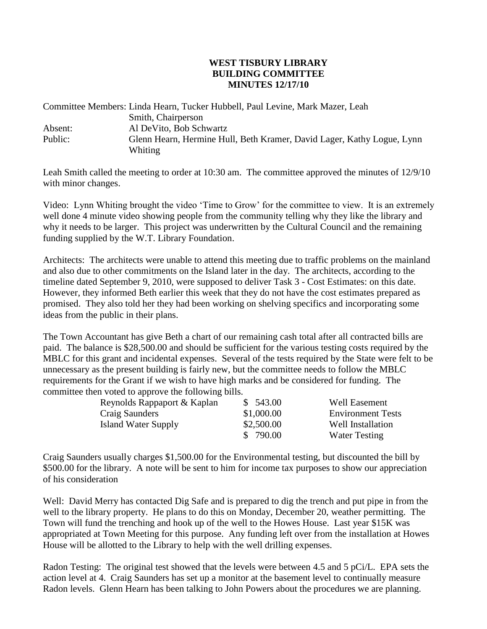## **WEST TISBURY LIBRARY BUILDING COMMITTEE MINUTES 12/17/10**

Committee Members: Linda Hearn, Tucker Hubbell, Paul Levine, Mark Mazer, Leah Smith, Chairperson Absent: Absent: Al DeVito, Bob Schwartz Public: Glenn Hearn, Hermine Hull, Beth Kramer, David Lager, Kathy Logue, Lynn Whiting

Leah Smith called the meeting to order at 10:30 am. The committee approved the minutes of 12/9/10 with minor changes.

Video: Lynn Whiting brought the video 'Time to Grow' for the committee to view. It is an extremely well done 4 minute video showing people from the community telling why they like the library and why it needs to be larger. This project was underwritten by the Cultural Council and the remaining funding supplied by the W.T. Library Foundation.

Architects: The architects were unable to attend this meeting due to traffic problems on the mainland and also due to other commitments on the Island later in the day. The architects, according to the timeline dated September 9, 2010, were supposed to deliver Task 3 - Cost Estimates: on this date. However, they informed Beth earlier this week that they do not have the cost estimates prepared as promised. They also told her they had been working on shelving specifics and incorporating some ideas from the public in their plans.

The Town Accountant has give Beth a chart of our remaining cash total after all contracted bills are paid. The balance is \$28,500.00 and should be sufficient for the various testing costs required by the MBLC for this grant and incidental expenses. Several of the tests required by the State were felt to be unnecessary as the present building is fairly new, but the committee needs to follow the MBLC requirements for the Grant if we wish to have high marks and be considered for funding. The committee then voted to approve the following bills.

| Reynolds Rappaport & Kaplan | \$ 543.00  | <b>Well Easement</b>     |
|-----------------------------|------------|--------------------------|
| Craig Saunders              | \$1,000.00 | <b>Environment Tests</b> |
| Island Water Supply         | \$2,500.00 | Well Installation        |
|                             | \$790.00   | <b>Water Testing</b>     |

Craig Saunders usually charges \$1,500.00 for the Environmental testing, but discounted the bill by \$500.00 for the library. A note will be sent to him for income tax purposes to show our appreciation of his consideration

Well: David Merry has contacted Dig Safe and is prepared to dig the trench and put pipe in from the well to the library property. He plans to do this on Monday, December 20, weather permitting. The Town will fund the trenching and hook up of the well to the Howes House. Last year \$15K was appropriated at Town Meeting for this purpose. Any funding left over from the installation at Howes House will be allotted to the Library to help with the well drilling expenses.

Radon Testing: The original test showed that the levels were between 4.5 and 5 pCi/L. EPA sets the action level at 4. Craig Saunders has set up a monitor at the basement level to continually measure Radon levels. Glenn Hearn has been talking to John Powers about the procedures we are planning.